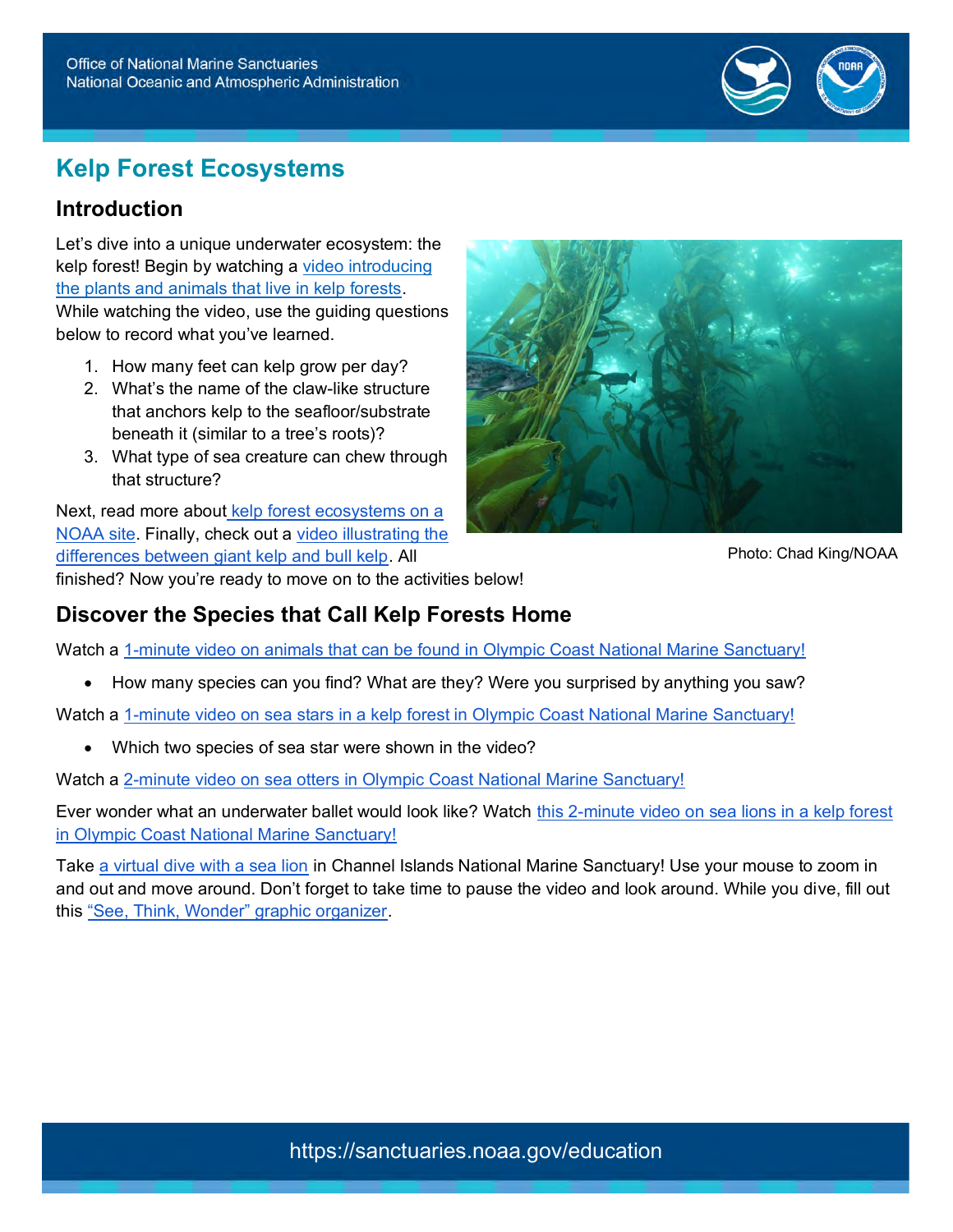

# **Kelp Forest Ecosystems**

### **Introduction**

Let's dive into a unique underwater ecosystem: the kelp forest! Begin by watching a [video introducing](https://sanctuaries.noaa.gov/earthisblue/wk182-kelp-forest.html)  [the plants and animals that live in kelp forests.](https://sanctuaries.noaa.gov/earthisblue/wk182-kelp-forest.html) While watching the video, use the guiding questions below to record what you've learned.

- 1. How many feet can kelp grow per day?
- 2. What's the name of the claw-like structure that anchors kelp to the seafloor/substrate beneath it (similar to a tree's roots)?
- 3. What type of sea creature can chew through that structure?

Next, read more about [kelp forest ecosystems on a](https://sanctuaries.noaa.gov/visit/ecosystems/kelpdesc.html) [NOAA site.](https://sanctuaries.noaa.gov/visit/ecosystems/kelpdesc.html) Finally, check out a [video illustrating the](https://sanctuaries.noaa.gov/earthisblue/wk210-bull-kelp-vs-giant-kelp.html)  [differences between giant kelp and bull kelp.](https://sanctuaries.noaa.gov/earthisblue/wk210-bull-kelp-vs-giant-kelp.html) All finished? Now you're ready to move on to the activities below!



Photo: Chad King/NOAA

# **Discover the Species that Call Kelp Forests Home**

Watch a [1-minute video on animals that can be found in Olympic Coast National Marine Sanctuary!](https://sanctuaries.noaa.gov/earthisblue/wk223-animals-of-olympic-coast.html)

• How many species can you find? What are they? Were you surprised by anything you saw?

Watch a [1-minute video on sea stars in a kelp forest in Olympic Coast National Marine Sanctuary!](https://sanctuaries.noaa.gov/earthisblue/wk232-sea-stars-in-olympic-coast.html)

• Which two species of sea star were shown in the video?

Watch a [2-minute video on sea otters in Olympic Coast National Marine Sanctuary!](https://sanctuaries.noaa.gov/earthisblue/wk24-otters.html)

Ever wonder what an underwater ballet would look like? Watch this 2-minute video on sea lions in a kelp forest [in Olympic Coast National Marine Sanctuary!](https://sanctuaries.noaa.gov/earthisblue/wk161-sea-lions-in-olympic-coast-national-marine-sanctuary.html)

Take [a virtual dive with a sea lion](https://sanctuaries.noaa.gov/vr/channel-islands/sea-lion-encouter/) in Channel Islands National Marine Sanctuary! Use your mouse to zoom in and out and move around. Don't forget to take time to pause the video and look around. While you dive, fill out this ["See, Think, Wonder" graphic organizer.](https://parktrust.org/wp-content/uploads/2021/12/See-Think-Wonder.pdf)